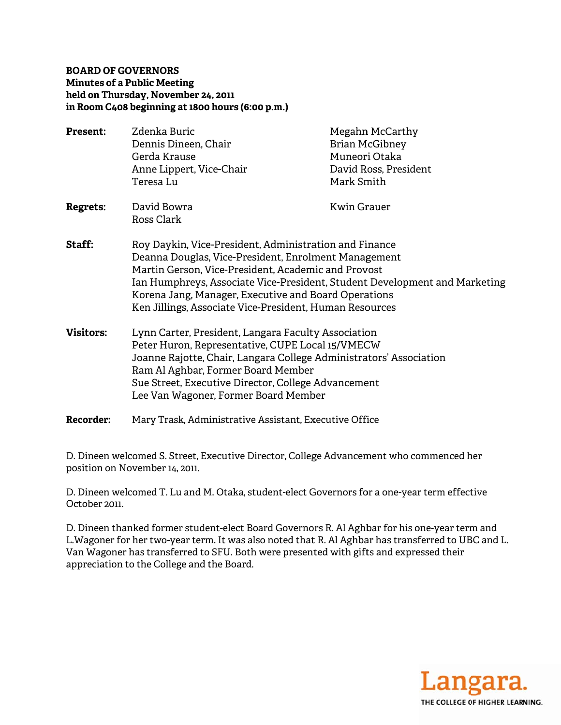# **BOARD OF GOVERNORS Minutes of a Public M Meeting held on T Thursday, N November 24 4, 2011 in Room C408 beginn ning at 1800 hours (6:00 0 p.m.)**

| <b>Present:</b>  | Zdenka Buric<br>Dennis Dineen, Chair<br>Gerda Krause<br>Anne Lippert, Vice-Chair<br>Teresa Lu                                                                                                                                                                                                                                                                          | Megahn McCarthy<br><b>Brian McGibney</b><br>Muneori Otaka<br>David Ross, President<br>Mark Smith |
|------------------|------------------------------------------------------------------------------------------------------------------------------------------------------------------------------------------------------------------------------------------------------------------------------------------------------------------------------------------------------------------------|--------------------------------------------------------------------------------------------------|
| <b>Regrets:</b>  | David Bowra<br>Ross Clark                                                                                                                                                                                                                                                                                                                                              | <b>Kwin Grauer</b>                                                                               |
| Staff:           | Roy Daykin, Vice-President, Administration and Finance<br>Deanna Douglas, Vice-President, Enrolment Management<br>Martin Gerson, Vice-President, Academic and Provost<br>Ian Humphreys, Associate Vice-President, Student Development and Marketing<br>Korena Jang, Manager, Executive and Board Operations<br>Ken Jillings, Associate Vice-President, Human Resources |                                                                                                  |
| <b>Visitors:</b> | Lynn Carter, President, Langara Faculty Association<br>Peter Huron, Representative, CUPE Local 15/VMECW<br>Joanne Rajotte, Chair, Langara College Administrators' Association<br>Ram Al Aghbar, Former Board Member<br>Sue Street, Executive Director, College Advancement<br>Lee Van Wagoner, Former Board Member                                                     |                                                                                                  |

**Recorder r:** Mary Trask, Administrative Assistant, Executive Office

D. Dineen welcomed S. Street, Executive Director, College Advancement who commenced her position on Novemb er 14, 2011.

D. Dineen welcomed T. Lu and M. Otaka, student-elect Governors for a one-year term effective October 2 2011.

D. Dineen thanked former student-elect Board Governors R. Al Aghbar for his one-year term and L.Wagoner for her two-year term. It was also noted that R. Al Aghbar has transferred to UBC and L. Van Wagoner has transferred to SFU. Both were presented with gifts and expressed their apprecia tion to the C College and t the Board.

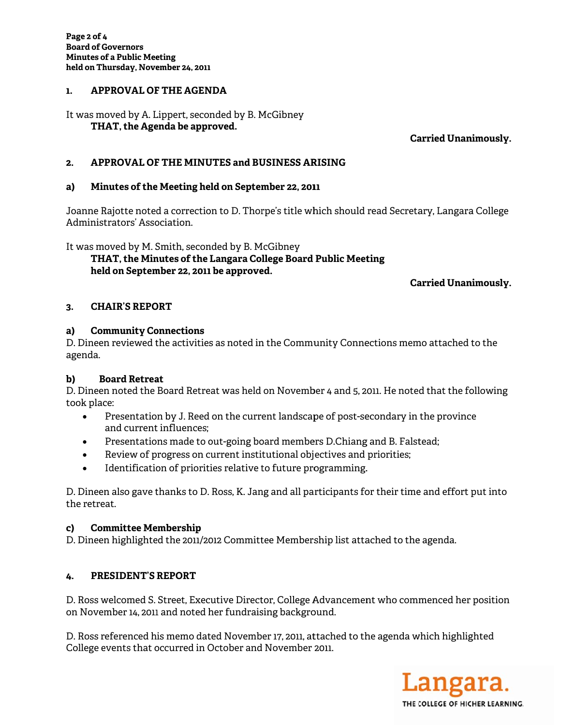# held on Thursday, November 24, 2011<br>1**. APPROVAL OF THE AGENDA**

It was m oved by A. L Lippert, seco nded by B. M McGibney  **TH HAT, the Age enda be appr roved.** 

**Ca arried Unan nimously.** 

## 2. APPROVAL OF THE MINUTES and BUSINESS ARISING

## a) Minutes of the Meeting held on September 22, 2011

Joanne Rajotte noted a correction to D. Thorpe's title which should read Secretary, Langara College Administrators' Association.

It was moved by M. Smith, seconded by B. McGibney  **TH HAT, the Min nutes of the Langara Co llege Board Public Meet ting hel d on Septem mber 22, 2011 1 be approve ed.** 

**Ca arried Unan nimously.** 

# **3. CH AIR'S REPO ORT**

## **a) Com mmunity Co onnections**

D. Dineen reviewed the activities as noted in the Community Connections memo attached to the agenda.

#### b) Board Retreat

D. Dineen noted the Board Retreat was held on November 4 and 5, 2011. He noted that the following took plac ce:

- $\bullet$ Presentation by J. Reed on the current landscape of post-secondary in the province and current t influences;
- $\bullet$ Presentations made to out-going board members D.Chiang and B. Falstead;
- $\bullet$ Review of p rogress on c current insti tutional obj ectives and priorities;
- $\bullet$ Identification of priorities relative to future programming.

o ldentification of priorities relative to future programming.<br>D. Dineen also gave thanks to D. Ross, K. Jang and all participants for their time and effort put into the retre at.

# **c) Com mmittee Me embership**

D. Dineen highlighted the 2011/2012 Committee Membership list attached to the agenda.

# **4. PRE ESIDENT'S R REPORT**

D. Ross welcomed S. Street, Executive Director, College Advancement who commenced her position on November 14, 2011 and noted her fundraising background.

D. Ross referenced his memo dated November 17, 2011, attached to the agenda which highlighted College events that occurred in October and November 2011.

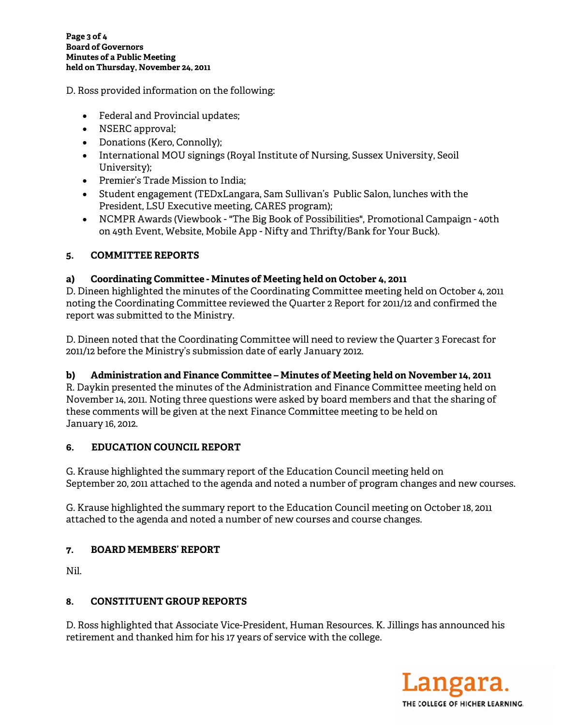D. Ross provided information on the following:

- Federal and Provincial updates;
- NSERC approval;
- Donations (Kero, Connolly);
- International MOU signings (Royal Institute of Nursing, Sussex University, Seoil University);
- Premier's Trade Mission to India;
- Student engagement (TEDxLangara, Sam Sullivan's Public Salon, lunches with the President, LSU Executive meeting, CARES program);
- NCMPR Awards (Viewbook "The Big Book of Possibilities", Promotional Campaign 40th on 49th Event, Website, Mobile App - Nifty and Thrifty/Bank for Your Buck).

#### 5. **COMMITTEE REPORTS**

#### Coordinating Committee - Minutes of Meeting held on October 4, 2011 a)

D. Dineen highlighted the minutes of the Coordinating Committee meeting held on October 4, 2011 noting the Coordinating Committee reviewed the Quarter 2 Report for 2011/12 and confirmed the report was submitted to the Ministry.

D. Dineen noted that the Coordinating Committee will need to review the Quarter 3 Forecast for 2011/12 before the Ministry's submission date of early January 2012.

#### Administration and Finance Committee - Minutes of Meeting held on November 14, 2011 b)

R. Daykin presented the minutes of the Administration and Finance Committee meeting held on November 14, 2011. Noting three questions were asked by board members and that the sharing of these comments will be given at the next Finance Committee meeting to be held on January 16, 2012.

#### **EDUCATION COUNCIL REPORT** 6.

G. Krause highlighted the summary report of the Education Council meeting held on September 20, 2011 attached to the agenda and noted a number of program changes and new courses.

G. Krause highlighted the summary report to the Education Council meeting on October 18, 2011 attached to the agenda and noted a number of new courses and course changes.

#### **BOARD MEMBERS' REPORT** 7.

Nil.

#### **CONSTITUENT GROUP REPORTS** 8.

D. Ross highlighted that Associate Vice-President, Human Resources, K. Jillings has announced his retirement and thanked him for his 17 years of service with the college.